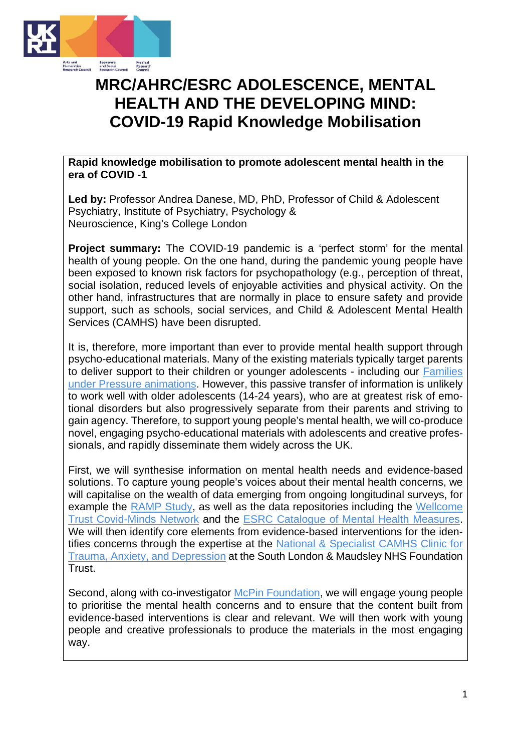

## **MRC/AHRC/ESRC ADOLESCENCE, MENTAL HEALTH AND THE DEVELOPING MIND: COVID-19 Rapid Knowledge Mobilisation**

**Rapid knowledge mobilisation to promote adolescent mental health in the era of COVID -1** 

**Led by:** Professor Andrea Danese, MD, PhD, Professor of Child & Adolescent Psychiatry, Institute of Psychiatry, Psychology & Neuroscience, King's College London

**Project summary:** The COVID-19 pandemic is a 'perfect storm' for the mental health of young people. On the one hand, during the pandemic young people have been exposed to known risk factors for psychopathology (e.g., perception of threat, social isolation, reduced levels of enjoyable activities and physical activity. On the other hand, infrastructures that are normally in place to ensure safety and provide support, such as schools, social services, and Child & Adolescent Mental Health Services (CAMHS) have been disrupted.

It is, therefore, more important than ever to provide mental health support through psycho-educational materials. Many of the existing materials typically target parents to deliver support to their children or younger adolescents - including our **Families** [under Pressure animations.](https://familiesunderpressure.maudsleycharity.org/) However, this passive transfer of information is unlikely to work well with older adolescents (14-24 years), who are at greatest risk of emotional disorders but also progressively separate from their parents and striving to gain agency. Therefore, to support young people's mental health, we will co-produce novel, engaging psycho-educational materials with adolescents and creative professionals, and rapidly disseminate them widely across the UK.

First, we will synthesise information on mental health needs and evidence-based solutions. To capture young people's voices about their mental health concerns, we will capitalise on the wealth of data emerging from ongoing longitudinal surveys, for example the [RAMP Study,](https://rampstudy.co.uk/) as well as the data repositories including the [Wellcome](https://www.covidminds.org/empiricalpapers)  [Trust Covid-Minds Network](https://www.covidminds.org/empiricalpapers) and the [ESRC Catalogue of Mental Health Measures.](https://www.cataloguementalhealth.ac.uk/?content=4) We will then identify core elements from evidence-based interventions for the identifies concerns through the expertise at the [National & Specialist CAMHS Clinic for](https://slam.nhs.uk/national-services/child-and-adolescent-services/tad-clinic/)  [Trauma, Anxiety, and Depression](https://slam.nhs.uk/national-services/child-and-adolescent-services/tad-clinic/) at the South London & Maudsley NHS Foundation Trust.

Second, along with co-investigator [McPin Foundation,](https://mcpin.org/) we will engage young people to prioritise the mental health concerns and to ensure that the content built from evidence-based interventions is clear and relevant. We will then work with young people and creative professionals to produce the materials in the most engaging way.